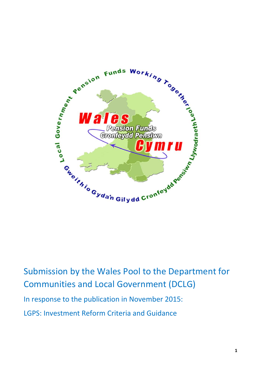

Submission by the Wales Pool to the Department for Communities and Local Government (DCLG)

In response to the publication in November 2015:

LGPS: Investment Reform Criteria and Guidance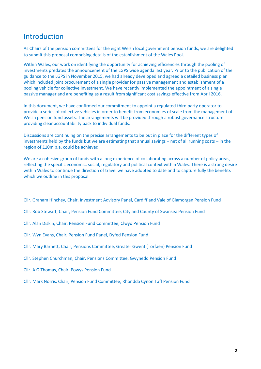# Introduction

As Chairs of the pension committees for the eight Welsh local government pension funds, we are delighted to submit this proposal comprising details of the establishment of the Wales Pool.

Within Wales, our work on identifying the opportunity for achieving efficiencies through the pooling of investments predates the announcement of the LGPS wide agenda last year. Prior to the publication of the guidance to the LGPS in November 2015, we had already developed and agreed a detailed business plan which included joint procurement of a single provider for passive management and establishment of a pooling vehicle for collective investment. We have recently implemented the appointment of a single passive manager and are benefiting as a result from significant cost savings effective from April 2016.

In this document, we have confirmed our commitment to appoint a regulated third party operator to provide a series of collective vehicles in order to benefit from economies of scale from the management of Welsh pension fund assets. The arrangements will be provided through a robust governance structure providing clear accountability back to individual funds.

Discussions are continuing on the precise arrangements to be put in place for the different types of investments held by the funds but we are estimating that annual savings – net of all running costs – in the region of £10m p.a. could be achieved.

We are a cohesive group of funds with a long experience of collaborating across a number of policy areas, reflecting the specific economic, social, regulatory and political context within Wales. There is a strong desire within Wales to continue the direction of travel we have adopted to date and to capture fully the benefits which we outline in this proposal.

Cllr. Graham Hinchey, Chair, Investment Advisory Panel, Cardiff and Vale of Glamorgan Pension Fund

- Cllr. Rob Stewart, Chair, Pension Fund Committee, City and County of Swansea Pension Fund
- Cllr. Alan Diskin, Chair, Pension Fund Committee, Clwyd Pension Fund
- Cllr. Wyn Evans, Chair, Pension Fund Panel, Dyfed Pension Fund
- Cllr. Mary Barnett, Chair, Pensions Committee, Greater Gwent (Torfaen) Pension Fund
- Cllr. Stephen Churchman, Chair, Pensions Committee, Gwynedd Pension Fund
- Cllr. A G Thomas, Chair, Powys Pension Fund
- Cllr. Mark Norris, Chair, Pension Fund Committee, Rhondda Cynon Taff Pension Fund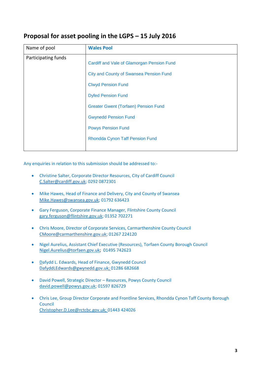# **Proposal for asset pooling in the LGPS – 15 July 2016**

| Name of pool        | <b>Wales Pool</b>                              |
|---------------------|------------------------------------------------|
| Participating funds | Cardiff and Vale of Glamorgan Pension Fund     |
|                     | <b>City and County of Swansea Pension Fund</b> |
|                     | <b>Clwyd Pension Fund</b>                      |
|                     | <b>Dyfed Pension Fund</b>                      |
|                     | <b>Greater Gwent (Torfaen) Pension Fund</b>    |
|                     | <b>Gwynedd Pension Fund</b>                    |
|                     | <b>Powys Pension Fund</b>                      |
|                     | <b>Rhondda Cynon Taff Pension Fund</b>         |
|                     |                                                |

Any enquiries in relation to this submission should be addressed to:-

- Christine Salter, Corporate Director Resources, City of Cardiff Council [C.Salter@cardiff.gov.uk;](mailto:C.Salter@cardiff.gov.uk) 0292 0872301
- Mike Hawes, Head of Finance and Delivery, City and County of Swansea [Mike.Hawes@swansea.gov.uk;](mailto:Mike.Hawes@swansea.gov.uk) 01792 636423
- Gary Ferguson, Corporate Finance Manager, Flintshire County Council [gary.ferguson@flintshire.gov.uk;](mailto:gary.ferguson@flintshire.gov.uk) 01352 702271
- Chris Moore, Director of Corporate Services, Carmarthenshire County Council [CMoore@carmarthenshire.gov.uk;](mailto:CMoore@carmarthenshire.gov.uk) 01267 224120
- Nigel Aurelius, Assistant Chief Executive (Resources), Torfaen County Borough Council [Nigel.Aurelius@torfaen.gov.uk;](mailto:Nigel.Aurelius@torfaen.gov.uk) 01495 742623
- Dafydd L. Edwards, Head of Finance, Gwynedd Council [DafyddLEdwards@gwynedd.gov.uk;](mailto:DafyddLEdwards@gwynedd.gov.uk) 01286 682668
- David Powell, Strategic Director Resources, Powys County Council [david.powell@powys.gov.uk;](mailto:david.powell@powys.gov.uk) 01597 826729
- Chris Lee, Group Director Corporate and Frontline Services, Rhondda Cynon Taff County Borough Council [Christopher.D.Lee@rctcbc.gov.uk;](mailto:Christopher.D.Lee@rctcbc.gov.uk) 01443 424026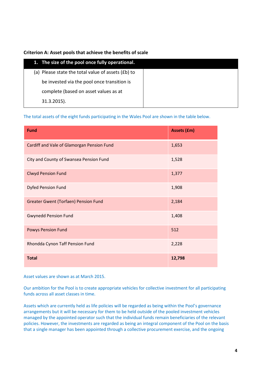## **Criterion A: Asset pools that achieve the benefits of scale**

| 1. The size of the pool once fully operational.    |  |
|----------------------------------------------------|--|
| (a) Please state the total value of assets (£b) to |  |
| be invested via the pool once transition is        |  |
| complete (based on asset values as at              |  |
| $31.3.2015$ ).                                     |  |

The total assets of the eight funds participating in the Wales Pool are shown in the table below.

| <b>Fund</b>                                 | <b>Assets (£m)</b> |
|---------------------------------------------|--------------------|
| Cardiff and Vale of Glamorgan Pension Fund  | 1,653              |
| City and County of Swansea Pension Fund     | 1,528              |
| <b>Clwyd Pension Fund</b>                   | 1,377              |
| <b>Dyfed Pension Fund</b>                   | 1,908              |
| <b>Greater Gwent (Torfaen) Pension Fund</b> | 2,184              |
| <b>Gwynedd Pension Fund</b>                 | 1,408              |
| <b>Powys Pension Fund</b>                   | 512                |
| Rhondda Cynon Taff Pension Fund             | 2,228              |
| <b>Total</b>                                | 12,798             |

Asset values are shown as at March 2015.

Our ambition for the Pool is to create appropriate vehicles for collective investment for all participating funds across all asset classes in time.

Assets which are currently held as life policies will be regarded as being within the Pool's governance arrangements but it will be necessary for them to be held outside of the pooled investment vehicles managed by the appointed operator such that the individual funds remain beneficiaries of the relevant policies. However, the investments are regarded as being an integral component of the Pool on the basis that a single manager has been appointed through a collective procurement exercise, and the ongoing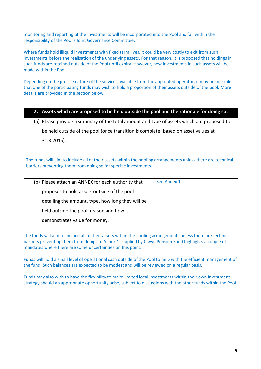monitoring and reporting of the investments will be incorporated into the Pool and fall within the responsibility of the Pool's Joint Governance Committee.

Where funds hold illiquid investments with fixed term lives, it could be very costly to exit from such investments before the realisation of the underlying assets. For that reason, it is proposed that holdings in such funds are retained outside of the Pool until expiry. However, new investments in such assets will be made within the Pool.

Depending on the precise nature of the services available from the appointed operator, it may be possible that one of the participating funds may wish to hold a proportion of their assets outside of the pool. More details are provided in the section below.

|                                                                                                                                                                                  | 2. Assets which are proposed to be held outside the pool and the rationale for doing so.  |              |  |
|----------------------------------------------------------------------------------------------------------------------------------------------------------------------------------|-------------------------------------------------------------------------------------------|--------------|--|
|                                                                                                                                                                                  | (a) Please provide a summary of the total amount and type of assets which are proposed to |              |  |
|                                                                                                                                                                                  | be held outside of the pool (once transition is complete, based on asset values at        |              |  |
|                                                                                                                                                                                  | $31.3.2015$ ).                                                                            |              |  |
| The funds will aim to include all of their assets within the pooling arrangements unless there are technical<br>barriers preventing them from doing so for specific investments. |                                                                                           |              |  |
|                                                                                                                                                                                  | (b) Please attach an ANNEX for each authority that                                        | See Annex 1. |  |
|                                                                                                                                                                                  | proposes to hold assets outside of the pool                                               |              |  |
|                                                                                                                                                                                  | detailing the amount, type, how long they will be                                         |              |  |
|                                                                                                                                                                                  | held outside the pool, reason and how it                                                  |              |  |
|                                                                                                                                                                                  | demonstrates value for money.                                                             |              |  |

The funds will aim to include all of their assets within the pooling arrangements unless there are technical barriers preventing them from doing so. Annex 1 supplied by Clwyd Pension Fund highlights a couple of mandates where there are some uncertainties on this point.

Funds will hold a small level of operational cash outside of the Pool to help with the efficient management of the fund. Such balances are expected to be modest and will be reviewed on a regular basis.

Funds may also wish to have the flexibility to make limited local investments within their own investment strategy should an appropriate opportunity arise, subject to discussions with the other funds within the Pool.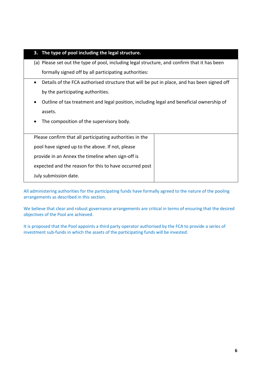## **3. The type of pool including the legal structure.**

- (a) Please set out the type of pool, including legal structure, and confirm that it has been formally signed off by all participating authorities:
- Details of the FCA authorised structure that will be put in place, and has been signed off by the participating authorities.
- Outline of tax treatment and legal position, including legal and beneficial ownership of assets.
- The composition of the supervisory body.

| Please confirm that all participating authorities in the |  |
|----------------------------------------------------------|--|
| pool have signed up to the above. If not, please         |  |
| provide in an Annex the timeline when sign-off is        |  |
| expected and the reason for this to have occurred post   |  |
| July submission date.                                    |  |

All administering authorities for the participating funds have formally agreed to the nature of the pooling arrangements as described in this section.

We believe that clear and robust governance arrangements are critical in terms of ensuring that the desired objectives of the Pool are achieved.

It is proposed that the Pool appoints a third party operator authorised by the FCA to provide a series of investment sub-funds in which the assets of the participating funds will be invested.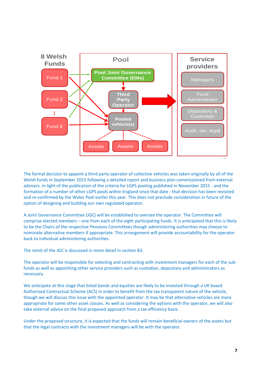

The formal decision to appoint a third party operator of collective vehicles was taken originally by all of the Welsh funds in September 2015 following a detailed report and business plan commissioned from external advisers. In light of the publication of the criteria for LGPS pooling published in November 2015 - and the formation of a number of other LGPS pools within England since that date - that decision has been revisited and re-confirmed by the Wales Pool earlier this year. This does not preclude consideration in future of the option of designing and building our own regulated operator.

A Joint Governance Committee (JGC) will be established to oversee the operator. The Committee will comprise elected members – one from each of the eight participating funds. It is anticipated that this is likely to be the Chairs of the respective Pensions Committees though administering authorities may choose to nominate alternative members if appropriate. This arrangement will provide accountability for the operator back to individual administering authorities.

The remit of the JGC is discussed in more detail in section B3.

The operator will be responsible for selecting and contracting with investment managers for each of the subfunds as well as appointing other service providers such as custodian, depositary and administrators as necessary.

We anticipate at this stage that listed bonds and equities are likely to be invested through a UK based Authorised Contractual Scheme (ACS) in order to benefit from the tax transparent nature of the vehicle, though we will discuss this issue with the appointed operator. It may be that alternative vehicles are more appropriate for some other asset classes. As well as considering the options with the operator, we will also take external advice on the final proposed approach from a tax efficiency basis.

Under the proposed structure, it is expected that the funds will remain beneficial owners of the assets but that the legal contracts with the investment managers will be with the operator.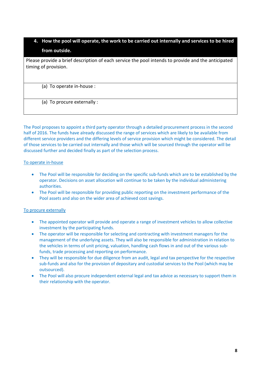# **4. How the pool will operate, the work to be carried out internally and services to be hired from outside.**

Please provide a brief description of each service the pool intends to provide and the anticipated timing of provision.

(a) To operate in-house :

(a) To procure externally :

The Pool proposes to appoint a third party operator through a detailed procurement process in the second half of 2016. The funds have already discussed the range of services which are likely to be available from different service providers and the differing levels of service provision which might be considered. The detail of those services to be carried out internally and those which will be sourced through the operator will be discussed further and decided finally as part of the selection process.

## To operate in-house

- The Pool will be responsible for deciding on the specific sub-funds which are to be established by the operator. Decisions on asset allocation will continue to be taken by the individual administering authorities.
- The Pool will be responsible for providing public reporting on the investment performance of the Pool assets and also on the wider area of achieved cost savings.

## To procure externally

- The appointed operator will provide and operate a range of investment vehicles to allow collective investment by the participating funds.
- The operator will be responsible for selecting and contracting with investment managers for the management of the underlying assets. They will also be responsible for administration in relation to the vehicles in terms of unit pricing, valuation, handling cash flows in and out of the various subfunds, trade processing and reporting on performance.
- They will be responsible for due diligence from an audit, legal and tax perspective for the respective sub-funds and also for the provision of depositary and custodial services to the Pool (which may be outsourced).
- The Pool will also procure independent external legal and tax advice as necessary to support them in their relationship with the operator.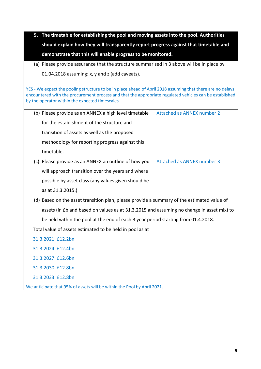| 5. The timetable for establishing the pool and moving assets into the pool. Authorities |
|-----------------------------------------------------------------------------------------|
| should explain how they will transparently report progress against that timetable and   |
| demonstrate that this will enable progress to be monitored.                             |

(a) Please provide assurance that the structure summarised in 3 above will be in place by 01.04.2018 assuming: x, y and z (add caveats).

YES - We expect the pooling structure to be in place ahead of April 2018 assuming that there are no delays encountered with the procurement process and that the appropriate regulated vehicles can be established by the operator within the expected timescales.

| (b) Please provide as an ANNEX a high level timetable                                      | Attached as ANNEX number 2 |
|--------------------------------------------------------------------------------------------|----------------------------|
| for the establishment of the structure and                                                 |                            |
| transition of assets as well as the proposed                                               |                            |
| methodology for reporting progress against this                                            |                            |
| timetable.                                                                                 |                            |
| (c) Please provide as an ANNEX an outline of how you                                       | Attached as ANNEX number 3 |
| will approach transition over the years and where                                          |                            |
| possible by asset class (any values given should be                                        |                            |
| as at 31.3.2015.)                                                                          |                            |
| (d) Based on the asset transition plan, please provide a summary of the estimated value of |                            |
| assets (in £b and based on values as at 31.3.2015 and assuming no change in asset mix) to  |                            |
| be held within the pool at the end of each 3 year period starting from 01.4.2018.          |                            |
| Total value of assets estimated to be held in pool as at                                   |                            |
| 31.3.2021: £12.2bn                                                                         |                            |
| 31.3.2024: £12.4bn                                                                         |                            |
| 31.3.2027: £12.6bn                                                                         |                            |
| 31.3.2030: £12.8bn                                                                         |                            |
| 31.3.2033: £12.8bn                                                                         |                            |
| We anticipate that 95% of assets will be within the Pool by April 2021.                    |                            |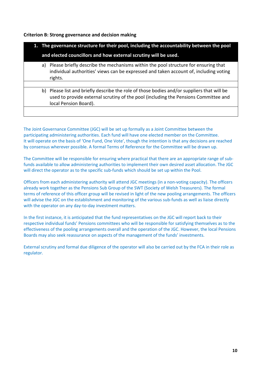## **Criterion B: Strong governance and decision making**

|                                                                 | 1. The governance structure for their pool, including the accountability between the pool                                                                                                               |  |
|-----------------------------------------------------------------|---------------------------------------------------------------------------------------------------------------------------------------------------------------------------------------------------------|--|
| and elected councillors and how external scrutiny will be used. |                                                                                                                                                                                                         |  |
| a)                                                              | Please briefly describe the mechanisms within the pool structure for ensuring that<br>individual authorities' views can be expressed and taken account of, including voting<br>rights.                  |  |
|                                                                 |                                                                                                                                                                                                         |  |
| b)                                                              | Please list and briefly describe the role of those bodies and/or suppliers that will be<br>used to provide external scrutiny of the pool (including the Pensions Committee and<br>local Pension Board). |  |
|                                                                 |                                                                                                                                                                                                         |  |

The Joint Governance Committee (JGC) will be set up formally as a Joint Committee between the participating administering authorities. Each fund will have one elected member on the Committee. It will operate on the basis of 'One Fund, One Vote', though the intention is that any decisions are reached by consensus wherever possible. A formal Terms of Reference for the Committee will be drawn up.

The Committee will be responsible for ensuring where practical that there are an appropriate range of subfunds available to allow administering authorities to implement their own desired asset allocation. The JGC will direct the operator as to the specific sub-funds which should be set up within the Pool.

Officers from each administering authority will attend JGC meetings (in a non-voting capacity). The officers already work together as the Pensions Sub Group of the SWT (Society of Welsh Treasurers). The formal terms of reference of this officer group will be revised in light of the new pooling arrangements. The officers will advise the JGC on the establishment and monitoring of the various sub-funds as well as liaise directly with the operator on any day-to-day investment matters.

In the first instance, it is anticipated that the fund representatives on the JGC will report back to their respective individual funds' Pensions committees who will be responsible for satisfying themselves as to the effectiveness of the pooling arrangements overall and the operation of the JGC. However, the local Pensions Boards may also seek reassurance on aspects of the management of the funds' investments.

External scrutiny and formal due diligence of the operator will also be carried out by the FCA in their role as regulator.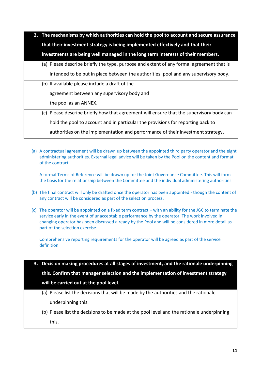- **2. The mechanisms by which authorities can hold the pool to account and secure assurance that their investment strategy is being implemented effectively and that their investments are being well managed in the long term interests of their members.** (a) Please describe briefly the type, purpose and extent of any formal agreement that is intended to be put in place between the authorities, pool and any supervisory body. (b) If available please include a draft of the agreement between any supervisory body and the pool as an ANNEX. (c) Please describe briefly how that agreement will ensure that the supervisory body can hold the pool to account and in particular the provisions for reporting back to authorities on the implementation and performance of their investment strategy.
	- (a) A contractual agreement will be drawn up between the appointed third party operator and the eight administering authorities. External legal advice will be taken by the Pool on the content and format of the contract.

A formal Terms of Reference will be drawn up for the Joint Governance Committee. This will form the basis for the relationship between the Committee and the individual administering authorities.

- (b) The final contract will only be drafted once the operator has been appointed though the content of any contract will be considered as part of the selection process.
- (c) The operator will be appointed on a fixed term contract with an ability for the JGC to terminate the service early in the event of unacceptable performance by the operator. The work involved in changing operator has been discussed already by the Pool and will be considered in more detail as part of the selection exercise.

Comprehensive reporting requirements for the operator will be agreed as part of the service definition.

**3. Decision making procedures at all stages of investment, and the rationale underpinning** 

**this. Confirm that manager selection and the implementation of investment strategy will be carried out at the pool level.**

- (a) Please list the decisions that will be made by the authorities and the rationale underpinning this.
- (b) Please list the decisions to be made at the pool level and the rationale underpinning this.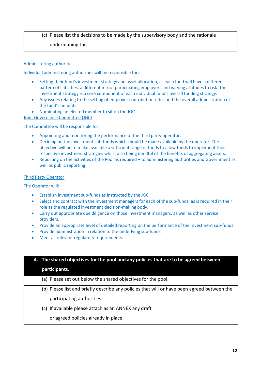# (c) Please list the decisions to be made by the supervisory body and the rationale underpinning this.

## Administering authorities

Individual administering authorities will be responsible for:-

- Setting their fund's investment strategy and asset allocation, as each fund will have a different pattern of liabilities, a different mix of participating employers and varying attitudes to risk. The investment strategy is a core component of each individual fund's overall funding strategy.
- Any issues relating to the setting of employer contribution rates and the overall administration of the fund's benefits.
- Nominating an elected member to sit on the JGC.

Joint Governance Committee (JGC)

The Committee will be responsible for:

- Appointing and monitoring the performance of the third party operator.
- Deciding on the investment sub-funds which should be made available by the operator. The objective will be to make available a sufficient range of funds to allow funds to implement their respective investment strategies whilst also being mindful of the benefits of aggregating assets.
- Reporting on the activities of the Pool as required to administering authorities and Government as well as public reporting.

#### Third Party Operator

The Operator will:

- Establish investment sub-funds as instructed by the JGC.
- Select and contract with the investment managers for each of the sub-funds, as is required in their role as the regulated investment decision-making body.
- Carry out appropriate due diligence on those investment managers, as well as other service providers.
- Provide an appropriate level of detailed reporting on the performance of the investment sub-funds.
- Provide administration in relation to the underlying sub-funds.
- Meet all relevant regulatory requirements.

| 4. The shared objectives for the pool and any policies that are to be agreed between        |  |
|---------------------------------------------------------------------------------------------|--|
| participants.                                                                               |  |
| (a) Please set out below the shared objectives for the pool.                                |  |
| (b) Please list and briefly describe any policies that will or have been agreed between the |  |
| participating authorities.                                                                  |  |
| (c) If available please attach as an ANNEX any draft                                        |  |
| or agreed policies already in place.                                                        |  |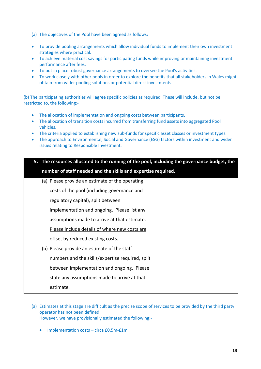- (a) The objectives of the Pool have been agreed as follows:
- To provide pooling arrangements which allow individual funds to implement their own investment strategies where practical.
- To achieve material cost savings for participating funds while improving or maintaining investment performance after fees.
- To put in place robust governance arrangements to oversee the Pool's activities.
- To work closely with other pools in order to explore the benefits that all stakeholders in Wales might obtain from wider pooling solutions or potential direct investments.

(b) The participating authorities will agree specific policies as required. These will include, but not be restricted to, the following:-

- The allocation of implementation and ongoing costs between participants.
- The allocation of transition costs incurred from transferring fund assets into aggregated Pool vehicles.
- The criteria applied to establishing new sub-funds for specific asset classes or investment types.
- The approach to Environmental, Social and Governance (ESG) factors within investment and wider issues relating to Responsible Investment.

| 5. The resources allocated to the running of the pool, including the governance budget, the |  |  |
|---------------------------------------------------------------------------------------------|--|--|
| number of staff needed and the skills and expertise required.                               |  |  |
| (a) Please provide an estimate of the operating                                             |  |  |
| costs of the pool (including governance and                                                 |  |  |
| regulatory capital), split between                                                          |  |  |
| implementation and ongoing. Please list any                                                 |  |  |
| assumptions made to arrive at that estimate.                                                |  |  |
| Please include details of where new costs are                                               |  |  |
| offset by reduced existing costs.                                                           |  |  |
| (b) Please provide an estimate of the staff                                                 |  |  |
| numbers and the skills/expertise required, split                                            |  |  |
| between implementation and ongoing. Please                                                  |  |  |
| state any assumptions made to arrive at that                                                |  |  |
| estimate.                                                                                   |  |  |
|                                                                                             |  |  |

- (a) Estimates at this stage are difficult as the precise scope of services to be provided by the third party operator has not been defined. However, we have provisionally estimated the following:-
	- Implementation costs circa £0.5m-£1m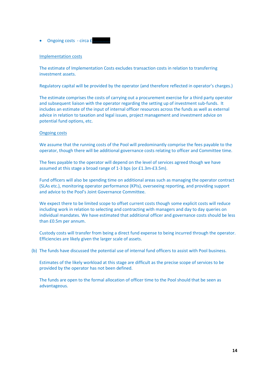Ongoing costs - circa £…………….

#### Implementation costs

The estimate of Implementation Costs excludes transaction costs in relation to transferring investment assets.

Regulatory capital will be provided by the operator (and therefore reflected in operator's charges.)

The estimate comprises the costs of carrying out a procurement exercise for a third party operator and subsequent liaison with the operator regarding the setting up of investment sub-funds. It includes an estimate of the input of internal officer resources across the funds as well as external advice in relation to taxation and legal issues, project management and investment advice on potential fund options, etc.

#### Ongoing costs

We assume that the running costs of the Pool will predominantly comprise the fees payable to the operator, though there will be additional governance costs relating to officer and Committee time.

The fees payable to the operator will depend on the level of services agreed though we have assumed at this stage a broad range of 1-3 bps (or £1.3m-£3.5m).

Fund officers will also be spending time on additional areas such as managing the operator contract (SLAs etc.), monitoring operator performance (KPIs), overseeing reporting, and providing support and advice to the Pool's Joint Governance Committee.

We expect there to be limited scope to offset current costs though some explicit costs will reduce including work in relation to selecting and contracting with managers and day to day queries on individual mandates. We have estimated that additional officer and governance costs should be less than £0.5m per annum.

Custody costs will transfer from being a direct fund expense to being incurred through the operator. Efficiencies are likely given the larger scale of assets.

(b) The funds have discussed the potential use of internal fund officers to assist with Pool business.

Estimates of the likely workload at this stage are difficult as the precise scope of services to be provided by the operator has not been defined.

The funds are open to the formal allocation of officer time to the Pool should that be seen as advantageous.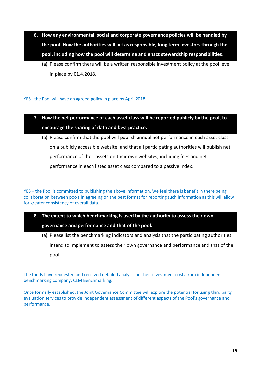- **6. How any environmental, social and corporate governance policies will be handled by the pool. How the authorities will act as responsible, long term investors through the pool, including how the pool will determine and enact stewardship responsibilities.**
	- (a) Please confirm there will be a written responsible investment policy at the pool level in place by 01.4.2018.

YES - the Pool will have an agreed policy in place by April 2018.

- **7. How the net performance of each asset class will be reported publicly by the pool, to encourage the sharing of data and best practice.**
	- (a) Please confirm that the pool will publish annual net performance in each asset class on a publicly accessible website, and that all participating authorities will publish net performance of their assets on their own websites, including fees and net performance in each listed asset class compared to a passive index.

YES – the Pool is committed to publishing the above information. We feel there is benefit in there being collaboration between pools in agreeing on the best format for reporting such information as this will allow for greater consistency of overall data.

# **8. The extent to which benchmarking is used by the authority to assess their own governance and performance and that of the pool.**

(a) Please list the benchmarking indicators and analysis that the participating authorities intend to implement to assess their own governance and performance and that of the pool.

The funds have requested and received detailed analysis on their investment costs from independent benchmarking company, CEM Benchmarking.

Once formally established, the Joint Governance Committee will explore the potential for using third party evaluation services to provide independent assessment of different aspects of the Pool's governance and performance.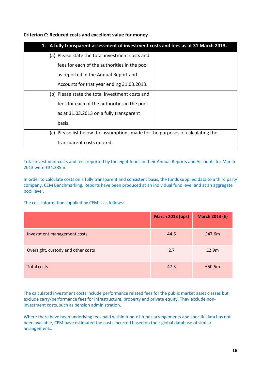**Criterion C: Reduced costs and excellent value for money**

| 1. A fully transparent assessment of investment costs and fees as at 31 March 2013. |  |  |
|-------------------------------------------------------------------------------------|--|--|
| (a) Please state the total investment costs and                                     |  |  |
| fees for each of the authorities in the pool                                        |  |  |
| as reported in the Annual Report and                                                |  |  |
| Accounts for that year ending 31.03.2013.                                           |  |  |
| (b) Please state the total investment costs and                                     |  |  |
| fees for each of the authorities in the pool                                        |  |  |
| as at 31.03.2013 on a fully transparent                                             |  |  |
| basis.                                                                              |  |  |
| (c) Please list below the assumptions made for the purposes of calculating the      |  |  |
| transparent costs quoted.                                                           |  |  |

Total investment costs and fees reported by the eight funds in their Annual Reports and Accounts for March 2013 were £34.385m.

In order to calculate costs on a fully transparent and consistent basis, the funds supplied data to a third party company, CEM Benchmarking. Reports have been produced at an individual fund level and at an aggregate pool level.

The cost information supplied by CEM is as follows:

|                                    | <b>March 2013 (bps)</b> | <b>March 2013 (£)</b> |
|------------------------------------|-------------------------|-----------------------|
| Investment management costs        | 44.6                    | £47.6m                |
| Oversight, custody and other costs | 2.7                     | E2.9m                 |
| Total costs                        | 47.3                    | £50.5m                |

The calculated investment costs include performance related fees for the public market asset classes but exclude carry/performance fees for infrastructure, property and private equity. They exclude noninvestment costs, such as pension administration.

Where there have been underlying fees paid within fund-of-funds arrangements and specific data has not been available, CEM have estimated the costs incurred based on their global database of similar arrangements.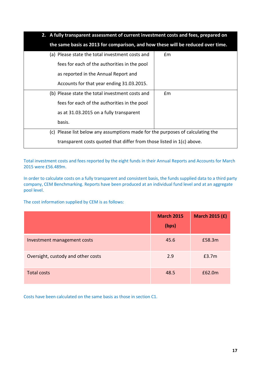| 2. A fully transparent assessment of current investment costs and fees, prepared on |                                                                                 |  |  |  |  |
|-------------------------------------------------------------------------------------|---------------------------------------------------------------------------------|--|--|--|--|
|                                                                                     | the same basis as 2013 for comparison, and how these will be reduced over time. |  |  |  |  |
| (a) Please state the total investment costs and                                     | £m                                                                              |  |  |  |  |
| fees for each of the authorities in the pool                                        |                                                                                 |  |  |  |  |
| as reported in the Annual Report and                                                |                                                                                 |  |  |  |  |
| Accounts for that year ending 31.03.2015.                                           |                                                                                 |  |  |  |  |
| (b) Please state the total investment costs and                                     | Em                                                                              |  |  |  |  |
| fees for each of the authorities in the pool                                        |                                                                                 |  |  |  |  |
| as at 31.03.2015 on a fully transparent                                             |                                                                                 |  |  |  |  |
| basis.                                                                              |                                                                                 |  |  |  |  |
|                                                                                     | (c) Please list below any assumptions made for the purposes of calculating the  |  |  |  |  |
|                                                                                     | transparent costs quoted that differ from those listed in $1(c)$ above.         |  |  |  |  |

Total investment costs and fees reported by the eight funds in their Annual Reports and Accounts for March 2015 were £56.489m.

In order to calculate costs on a fully transparent and consistent basis, the funds supplied data to a third party company, CEM Benchmarking. Reports have been produced at an individual fund level and at an aggregate pool level.

The cost information supplied by CEM is as follows:

|                                    | <b>March 2015</b><br>(bps) | <b>March 2015 (£)</b> |
|------------------------------------|----------------------------|-----------------------|
| Investment management costs        | 45.6                       | £58.3m                |
| Oversight, custody and other costs | 2.9                        | £3.7m                 |
| <b>Total costs</b>                 | 48.5                       | £62.0m                |

Costs have been calculated on the same basis as those in section C1.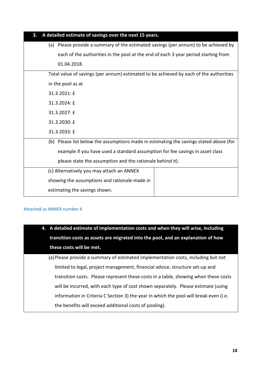| A detailed estimate of savings over the next 15 years.<br>3.                           |  |  |  |  |
|----------------------------------------------------------------------------------------|--|--|--|--|
| (a) Please provide a summary of the estimated savings (per annum) to be achieved by    |  |  |  |  |
| each of the authorities in the pool at the end of each 3 year period starting from     |  |  |  |  |
| 01.04.2018.                                                                            |  |  |  |  |
| Total value of savings (per annum) estimated to be achieved by each of the authorities |  |  |  |  |
| in the pool as at                                                                      |  |  |  |  |
| 31.3.2021: £                                                                           |  |  |  |  |
| 31.3.2024: £                                                                           |  |  |  |  |
| 31.3.2027: £                                                                           |  |  |  |  |
| 31.3.2030: £                                                                           |  |  |  |  |
| 31.3.2033: £                                                                           |  |  |  |  |
| (b) Please list below the assumptions made in estimating the savings stated above (for |  |  |  |  |
| example if you have used a standard assumption for fee savings in asset class          |  |  |  |  |
| please state the assumption and the rationale behind it).                              |  |  |  |  |
| (c) Alternatively you may attach an ANNEX                                              |  |  |  |  |
| showing the assumptions and rationale made in                                          |  |  |  |  |
| estimating the savings shown.                                                          |  |  |  |  |

## Attached as ANNEX number 4.

| 4. A detailed estimate of implementation costs and when they will arise, including |
|------------------------------------------------------------------------------------|
| transition costs as assets are migrated into the pool, and an explanation of how   |
| these costs will be met.                                                           |

(a)Please provide a summary of estimated implementation costs, including but not limited to legal, project management, financial advice, structure set-up and transition costs. Please represent these costs in a table, showing when these costs will be incurred, with each type of cost shown separately. Please estimate (using information in Criteria C Section 3) the year in which the pool will break even (i.e. the benefits will exceed additional costs of pooling).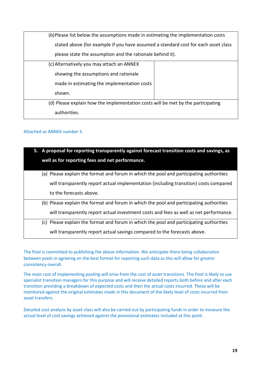| (b)Please list below the assumptions made in estimating the implementation costs |                                                                                    |  |  |
|----------------------------------------------------------------------------------|------------------------------------------------------------------------------------|--|--|
|                                                                                  | stated above (for example if you have assumed a standard cost for each asset class |  |  |
| please state the assumption and the rationale behind it).                        |                                                                                    |  |  |
| (c) Alternatively you may attach an ANNEX                                        |                                                                                    |  |  |
| showing the assumptions and rationale                                            |                                                                                    |  |  |
| made in estimating the implementation costs                                      |                                                                                    |  |  |
| shown.                                                                           |                                                                                    |  |  |
| (d) Please explain how the implementation costs will be met by the participating |                                                                                    |  |  |
| authorities.                                                                     |                                                                                    |  |  |

## Attached as ANNEX number 5.

| 5. A proposal for reporting transparently against forecast transition costs and savings, as<br>well as for reporting fees and net performance.                                    |
|-----------------------------------------------------------------------------------------------------------------------------------------------------------------------------------|
| (a) Please explain the format and forum in which the pool and participating authorities                                                                                           |
| will transparently report actual implementation (including transition) costs compared<br>to the forecasts above.                                                                  |
| (b) Please explain the format and forum in which the pool and participating authorities<br>will transparently report actual investment costs and fees as well as net performance. |
| (c) Please explain the format and forum in which the pool and participating authorities                                                                                           |
| will transparently report actual savings compared to the forecasts above.                                                                                                         |

The Pool is committed to publishing the above information. We anticipate there being collaboration between pools in agreeing on the best format for reporting such data as this will allow for greater consistency overall.

The main cost of implementing pooling will arise from the cost of asset transitions. The Pool is likely to use specialist transition managers for this purpose and will receive detailed reports both before and after each transition providing a breakdown of expected costs and then the actual costs incurred. These will be monitored against the original estimates made in this document of the likely level of costs incurred from asset transfers.

Detailed cost analysis by asset class will also be carried out by participating funds in order to measure the actual level of cost savings achieved against the provisional estimates included at this point.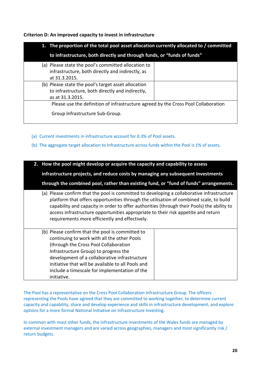**Criterion D: An improved capacity to invest in infrastructure**

| 1. The proportion of the total pool asset allocation currently allocated to / committed |  |  |  |
|-----------------------------------------------------------------------------------------|--|--|--|
| to infrastructure, both directly and through funds, or "funds of funds"                 |  |  |  |
| (a) Please state the pool's committed allocation to                                     |  |  |  |
| infrastructure, both directly and indirectly, as                                        |  |  |  |
| at 31.3.2015.                                                                           |  |  |  |
| (b) Please state the pool's target asset allocation                                     |  |  |  |
| to infrastructure, both directly and indirectly,                                        |  |  |  |
| as at 31.3.2015.                                                                        |  |  |  |
| Please use the definition of infrastructure agreed by the Cross Pool Collaboration      |  |  |  |
| Group Infrastructure Sub-Group.                                                         |  |  |  |

- (a) Current investments in infrastructure account for 0.3% of Pool assets.
- (b) The aggregate target allocation to infrastructure across funds within the Pool is 1% of assets.

**2. How the pool might develop or acquire the capacity and capability to assess infrastructure projects, and reduce costs by managing any subsequent investments through the combined pool, rather than existing fund, or "fund of funds" arrangements.** (a) Please confirm that the pool is committed to developing a collaborative infrastructure platform that offers opportunities through the utilisation of combined scale, to build capability and capacity in order to offer authorities (through their Pools) the ability to access infrastructure opportunities appropriate to their risk appetite and return requirements more efficiently and effectively. (b) Please confirm that the pool is committed to continuing to work with all the other Pools (through the Cross Pool Collaboration Infrastructure Group) to progress the development of a collaborative infrastructure initiative that will be available to all Pools and include a timescale for implementation of the initiative.

The Pool has a representative on the Cross Pool Collaboration Infrastructure Group. The officers representing the Pools have agreed that they are committed to working together, to determine current capacity and capability, share and develop experience and skills in infrastructure development, and explore options for a more formal National Initiative on Infrastructure Investing.

In common with most other funds, the infrastructure investments of the Wales funds are managed by external investment managers and are varied across geographies, managers and most significantly risk / return budgets.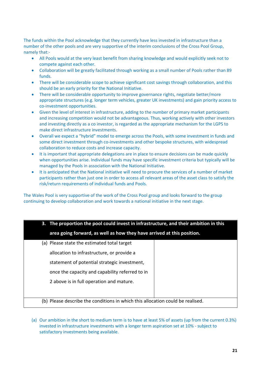The funds within the Pool acknowledge that they currently have less invested in infrastructure than a number of the other pools and are very supportive of the interim conclusions of the Cross Pool Group, namely that:-

- All Pools would at the very least benefit from sharing knowledge and would explicitly seek not to compete against each other.
- Collaboration will be greatly facilitated through working as a small number of Pools rather than 89 funds.
- There will be considerable scope to achieve significant cost savings through collaboration, and this should be an early priority for the National Initiative.
- There will be considerable opportunity to improve governance rights, negotiate better/more appropriate structures (e.g. longer term vehicles, greater UK investments) and gain priority access to co-investment opportunities.
- Given the level of interest in infrastructure, adding to the number of primary market participants and increasing competition would not be advantageous. Thus, working actively with other investors and investing directly as a co investor, is regarded as the appropriate mechanism for the LGPS to make direct infrastructure investments.
- Overall we expect a "hybrid" model to emerge across the Pools, with some investment in funds and some direct investment through co-investments and other bespoke structures, with widespread collaboration to reduce costs and increase capacity.
- It is important that appropriate delegations are in place to ensure decisions can be made quickly when opportunities arise. Individual funds may have specific investment criteria but typically will be managed by the Pools in association with the National Initiative.
- It is anticipated that the National initiative will need to procure the services of a number of market participants rather than just one in order to access all relevant areas of the asset class to satisfy the risk/return requirements of individual funds and Pools.

The Wales Pool is very supportive of the work of the Cross Pool group and looks forward to the group continuing to develop collaboration and work towards a national initiative in the next stage.

| 3. The proportion the pool could invest in infrastructure, and their ambition in this |  |  |  |  |
|---------------------------------------------------------------------------------------|--|--|--|--|
| area going forward, as well as how they have arrived at this position.                |  |  |  |  |
| (a) Please state the estimated total target                                           |  |  |  |  |
| allocation to infrastructure, or provide a                                            |  |  |  |  |
| statement of potential strategic investment,                                          |  |  |  |  |
| once the capacity and capability referred to in                                       |  |  |  |  |
| 2 above is in full operation and mature.                                              |  |  |  |  |
|                                                                                       |  |  |  |  |
| (b) Please describe the conditions in which this allocation could be realised.        |  |  |  |  |

(a) Our ambition in the short to medium term is to have at least 5% of assets (up from the current 0.3%) invested in infrastructure investments with a longer term aspiration set at 10% - subject to satisfactory investments being available.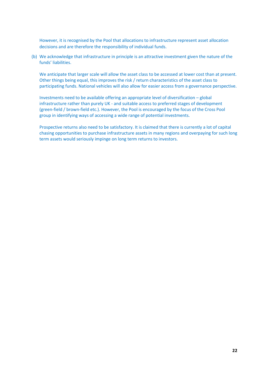However, it is recognised by the Pool that allocations to infrastructure represent asset allocation decisions and are therefore the responsibility of individual funds.

(b) We acknowledge that infrastructure in principle is an attractive investment given the nature of the funds' liabilities.

We anticipate that larger scale will allow the asset class to be accessed at lower cost than at present. Other things being equal, this improves the risk / return characteristics of the asset class to participating funds. National vehicles will also allow for easier access from a governance perspective.

Investments need to be available offering an appropriate level of diversification – global infrastructure rather than purely UK - and suitable access to preferred stages of development (green-field / brown-field etc.). However, the Pool is encouraged by the focus of the Cross Pool group in identifying ways of accessing a wide range of potential investments.

Prospective returns also need to be satisfactory. It is claimed that there is currently a lot of capital chasing opportunities to purchase infrastructure assets in many regions and overpaying for such long term assets would seriously impinge on long term returns to investors.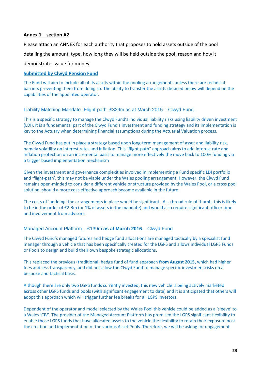## **Annex 1 – section A2**

Please attach an ANNEX for each authority that proposes to hold assets outside of the pool detailing the amount, type, how long they will be held outside the pool, reason and how it demonstrates value for money.

## **Submitted by Clwyd Pension Fund**

The Fund will aim to include all of its assets within the pooling arrangements unless there are technical barriers preventing them from doing so. The ability to transfer the assets detailed below will depend on the capabilities of the appointed operator.

### Liability Matching Mandate- Flight-path- £329m as at March 2015 – Clwyd Fund

This is a specific strategy to manage the Clwyd Fund's individual liability risks using liability driven investment (LDI). It is a fundamental part of the Clwyd Fund's investment and funding strategy and its implementation is key to the Actuary when determining financial assumptions during the Actuarial Valuation process.

The Clwyd Fund has put in place a strategy based upon long-term management of asset and liability risk, namely volatility on interest rates and inflation. This "flight-path" approach aims to add interest rate and inflation protection on an incremental basis to manage more effectively the move back to 100% funding via a trigger based implementation mechanism

Given the investment and governance complexities involved in implementing a Fund specific LDI portfolio and 'flight-path', this may not be viable under the Wales pooling arrangement. However, the Clwyd Fund remains open-minded to consider a different vehicle or structure provided by the Wales Pool, or a cross pool solution, should a more cost-effective approach become available in the future.

The costs of 'undoing' the arrangements in place would be significant. As a broad rule of thumb, this is likely to be in the order of £2-3m (or 1% of assets in the mandate) and would also require significant officer time and involvement from advisors.

### Managed Account Platform – £139m **as at March 2016** – Clwyd Fund

The Clwyd Fund's managed futures and hedge fund allocations are managed tactically by a specialist fund manager through a vehicle that has been specifically created for the LGPS and allows individual LGPS Funds or Pools to design and build their own bespoke strategic allocations.

This replaced the previous (traditional) hedge fund of fund approach **from August 2015,** which had higher fees and less transparency, and did not allow the Clwyd Fund to manage specific investment risks on a bespoke and tactical basis.

Although there are only two LGPS funds currently invested, this new vehicle is being actively marketed across other LGPS funds and pools (with significant engagement to date) and it is anticipated that others will adopt this approach which will trigger further fee breaks for all LGPS investors.

Dependent of the operator and model selected by the Wales Pool this vehicle could be added as a 'sleeve' to a Wales 'CIV'. The provider of the Managed Account Platform has promised the LGPS significant flexibility to enable those LGPS funds that have allocated assets to the vehicle the flexibility to retain their exposure post the creation and implementation of the various Asset Pools. Therefore, we will be asking for engagement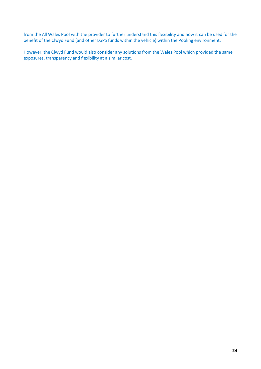from the All Wales Pool with the provider to further understand this flexibility and how it can be used for the benefit of the Clwyd Fund (and other LGPS funds within the vehicle) within the Pooling environment.

However, the Clwyd Fund would also consider any solutions from the Wales Pool which provided the same exposures, transparency and flexibility at a similar cost.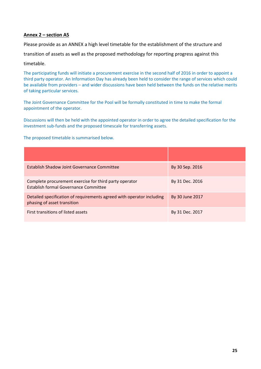## **Annex 2 – section A5**

Please provide as an ANNEX a high level timetable for the establishment of the structure and

transition of assets as well as the proposed methodology for reporting progress against this

#### timetable.

The participating funds will initiate a procurement exercise in the second half of 2016 in order to appoint a third party operator. An Information Day has already been held to consider the range of services which could be available from providers – and wider discussions have been held between the funds on the relative merits of taking particular services.

The Joint Governance Committee for the Pool will be formally constituted in time to make the formal appointment of the operator.

Discussions will then be held with the appointed operator in order to agree the detailed specification for the investment sub-funds and the proposed timescale for transferring assets.

The proposed timetable is summarised below.

| Establish Shadow Joint Governance Committee                                                          | By 30 Sep. 2016 |
|------------------------------------------------------------------------------------------------------|-----------------|
| Complete procurement exercise for third party operator<br>Establish formal Governance Committee      | By 31 Dec. 2016 |
| Detailed specification of requirements agreed with operator including<br>phasing of asset transition | By 30 June 2017 |
| First transitions of listed assets                                                                   | By 31 Dec. 2017 |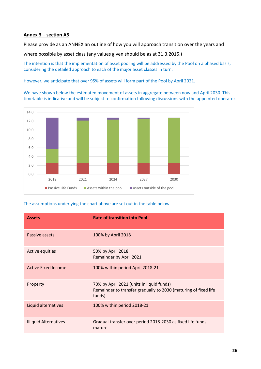## **Annex 3 – section A5**

Please provide as an ANNEX an outline of how you will approach transition over the years and

where possible by asset class (any values given should be as at 31.3.2015.)

The intention is that the implementation of asset pooling will be addressed by the Pool on a phased basis, considering the detailed approach to each of the major asset classes in turn.

However, we anticipate that over 95% of assets will form part of the Pool by April 2021.

We have shown below the estimated movement of assets in aggregate between now and April 2030. This timetable is indicative and will be subject to confirmation following discussions with the appointed operator.



The assumptions underlying the chart above are set out in the table below.

| <b>Assets</b>                | <b>Rate of transition into Pool</b>                                                                                    |
|------------------------------|------------------------------------------------------------------------------------------------------------------------|
| Passive assets               | 100% by April 2018                                                                                                     |
| Active equities              | 50% by April 2018<br>Remainder by April 2021                                                                           |
| <b>Active Fixed Income</b>   | 100% within period April 2018-21                                                                                       |
| Property                     | 70% by April 2021 (units in liquid funds)<br>Remainder to transfer gradually to 2030 (maturing of fixed life<br>funds) |
| Liquid alternatives          | 100% within period 2018-21                                                                                             |
| <b>Illiquid Alternatives</b> | Gradual transfer over period 2018-2030 as fixed life funds<br>mature                                                   |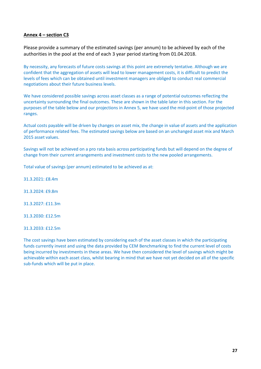### **Annex 4 – section C3**

Please provide a summary of the estimated savings (per annum) to be achieved by each of the authorities in the pool at the end of each 3 year period starting from 01.04.2018.

By necessity, any forecasts of future costs savings at this point are extremely tentative. Although we are confident that the aggregation of assets will lead to lower management costs, it is difficult to predict the levels of fees which can be obtained until investment managers are obliged to conduct real commercial negotiations about their future business levels.

We have considered possible savings across asset classes as a range of potential outcomes reflecting the uncertainty surrounding the final outcomes. These are shown in the table later in this section. For the purposes of the table below and our projections in Annex 5, we have used the mid-point of those projected ranges.

Actual costs payable will be driven by changes on asset mix, the change in value of assets and the application of performance related fees. The estimated savings below are based on an unchanged asset mix and March 2015 asset values.

Savings will not be achieved on a pro rata basis across participating funds but will depend on the degree of change from their current arrangements and investment costs to the new pooled arrangements.

Total value of savings (per annum) estimated to be achieved as at:

31.3.2021: £8.4m

31.3.2024: £9.8m

31.3.2027: £11.3m

31.3.2030: £12.5m

31.3.2033: £12.5m

The cost savings have been estimated by considering each of the asset classes in which the participating funds currently invest and using the data provided by CEM Benchmarking to find the current level of costs being incurred by investments in these areas. We have then considered the level of savings which might be achievable within each asset class, whilst bearing in mind that we have not yet decided on all of the specific sub-funds which will be put in place.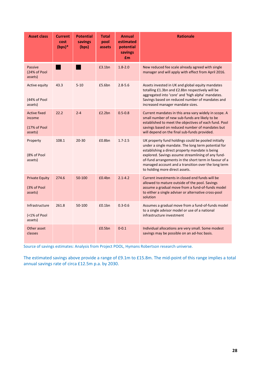| <b>Asset class</b>                                       | <b>Current</b><br>cost<br>$(bps)*$ | <b>Potential</b><br>savings<br>(bps) | <b>Total</b><br>pool<br>assets | <b>Annual</b><br>estimated<br>potential<br>savings<br>£m | <b>Rationale</b>                                                                                                                                                                                                                                                                                                                                                      |
|----------------------------------------------------------|------------------------------------|--------------------------------------|--------------------------------|----------------------------------------------------------|-----------------------------------------------------------------------------------------------------------------------------------------------------------------------------------------------------------------------------------------------------------------------------------------------------------------------------------------------------------------------|
| <b>Passive</b><br>(24% of Pool<br>assets)                |                                    |                                      | £3.1bn                         | $1.8 - 2.0$                                              | New reduced fee scale already agreed with single<br>manager and will apply with effect from April 2016.                                                                                                                                                                                                                                                               |
| Active equity<br>(44% of Pool<br>assets)                 | 43.3                               | $5 - 10$                             | £5.6bn                         | $2.8 - 5.6$                                              | Assets invested in UK and global equity mandates<br>totalling £1.3bn and £2.8bn respectively will be<br>aggregated into 'core' and 'high alpha' mandates.<br>Savings based on reduced number of mandates and<br>increased manager mandate sizes.                                                                                                                      |
| <b>Active fixed</b><br>income<br>(17% of Pool<br>assets) | 22.2                               | $2 - 4$                              | £2.2bn                         | $0.5 - 0.8$                                              | Current mandates in this area vary widely in scope. A<br>small number of new sub-funds are likely to be<br>established to meet the objectives of each fund. Pool<br>savings based on reduced number of mandates but<br>will depend on the final sub-funds provided.                                                                                                   |
| Property<br>(8% of Pool<br>assets)                       | 108.1                              | $20 - 30$                            | £0.8bn                         | $1.7 - 2.5$                                              | UK property fund holdings could be pooled initially<br>under a single mandate. The long term potential for<br>establishing a direct property mandate is being<br>explored. Savings assume streamlining of any fund-<br>of-fund arrangements in the short term in favour of a<br>managed account and a transition over the long term<br>to holding more direct assets. |
| <b>Private Equity</b><br>(3% of Pool<br>assets)          | 274.6                              | 50-100                               | £0.4bn                         | $2.1 - 4.2$                                              | Current investments in closed end funds will be<br>allowed to mature outside of the pool. Savings<br>assume a gradual move from a fund-of-funds model<br>to either a single adviser or alternative cross-pool<br>solution                                                                                                                                             |
| Infrastructure<br>(<1% of Pool<br>assets)                | 261.8                              | 50-100                               | £0.1bn                         | $0.3 - 0.6$                                              | Assumes a gradual move from a fund-of-funds model<br>to a single advisor model or use of a national<br>infrastructure investment                                                                                                                                                                                                                                      |
| Other asset<br>classes                                   |                                    |                                      | £0.5bn                         | $0 - 0.1$                                                | Individual allocations are very small. Some modest<br>savings may be possible on an ad-hoc basis.                                                                                                                                                                                                                                                                     |

Source of savings estimates: Analysis from Project POOL, Hymans Robertson research universe.

The estimated savings above provide a range of £9.1m to £15.8m. The mid-point of this range implies a total annual savings rate of circa £12.5m p.a. by 2030.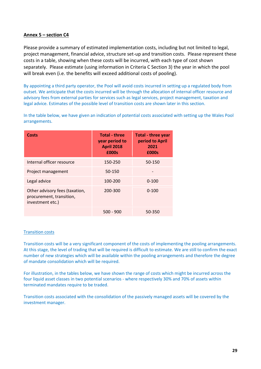## **Annex 5 – section C4**

Please provide a summary of estimated implementation costs, including but not limited to legal, project management, financial advice, structure set-up and transition costs. Please represent these costs in a table, showing when these costs will be incurred, with each type of cost shown separately. Please estimate (using information in Criteria C Section 3) the year in which the pool will break even (i.e. the benefits will exceed additional costs of pooling).

By appointing a third party operator, the Pool will avoid costs incurred in setting up a regulated body from outset. We anticipate that the costs incurred will be through the allocation of internal officer resource and advisory fees from external parties for services such as legal services, project management, taxation and legal advice. Estimates of the possible level of transition costs are shown later in this section.

| Costs                                                                          | <b>Total - three</b><br>year period to<br><b>April 2018</b><br>£000s | <b>Total - three year</b><br>period to April<br>2021<br>£000s |
|--------------------------------------------------------------------------------|----------------------------------------------------------------------|---------------------------------------------------------------|
| Internal officer resource                                                      | 150-250                                                              | 50-150                                                        |
| Project management                                                             | 50-150                                                               |                                                               |
| Legal advice                                                                   | 100-200                                                              | $0 - 100$                                                     |
| Other advisory fees (taxation,<br>procurement, transition,<br>investment etc.) | 200-300                                                              | $0 - 100$                                                     |
|                                                                                | 500 - 900                                                            | 50-350                                                        |

In the table below, we have given an indication of potential costs associated with setting up the Wales Pool arrangements.

#### Transition costs

Transition costs will be a very significant component of the costs of implementing the pooling arrangements. At this stage, the level of trading that will be required is difficult to estimate. We are still to confirm the exact number of new strategies which will be available within the pooling arrangements and therefore the degree of mandate consolidation which will be required.

For illustration, in the tables below, we have shown the range of costs which might be incurred across the four liquid asset classes in two potential scenarios - where respectively 30% and 70% of assets within terminated mandates require to be traded.

Transition costs associated with the consolidation of the passively managed assets will be covered by the investment manager.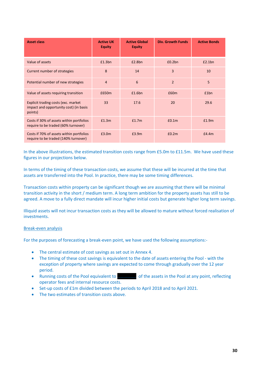| <b>Asset class</b>                                                                       | <b>Active UK</b><br><b>Equity</b> | <b>Active Global</b><br><b>Equity</b> | <b>Div. Growth Funds</b> | <b>Active Bonds</b> |
|------------------------------------------------------------------------------------------|-----------------------------------|---------------------------------------|--------------------------|---------------------|
| Value of assets                                                                          | £1.3bn                            | £2.8bn                                | £0.2bn                   | £2.1bn              |
| Current number of strategies                                                             | 8                                 | 14                                    | 3                        | 10                  |
| Potential number of new strategies                                                       | 4                                 | 6                                     | $\overline{2}$           | 5                   |
| Value of assets requiring transition                                                     | £650m                             | £1.6bn                                | £60m                     | £1bn                |
| Explicit trading costs (exc. market<br>impact and opportunity cost) (in basis<br>points) | 33                                | 17.6                                  | 20                       | 29.6                |
| Costs if 30% of assets within portfolios<br>require to be traded (60% turnover)          | £1.3m                             | £1.7m                                 | E0.1m                    | £1.9m               |
| Costs if 70% of assets within portfolios<br>require to be traded (140% turnover)         | £3.0m                             | £3.9m                                 | £0.2m                    | f4.4m               |

In the above illustrations, the estimated transition costs range from £5.0m to £11.5m. We have used these figures in our projections below.

In terms of the timing of these transaction costs, we assume that these will be incurred at the time that assets are transferred into the Pool. In practice, there may be some timing differences.

Transaction costs within property can be significant though we are assuming that there will be minimal transition activity in the short / medium term. A long term ambition for the property assets has still to be agreed. A move to a fully direct mandate will incur higher initial costs but generate higher long term savings.

Illiquid assets will not incur transaction costs as they will be allowed to mature without forced realisation of investments.

#### Break-even analysis

For the purposes of forecasting a break-even point, we have used the following assumptions:-

- The central estimate of cost savings as set out in Annex 4.
- The timing of these cost savings is equivalent to the date of assets entering the Pool with the exception of property where savings are expected to come through gradually over the 12 year period.
- Running costs of the Pool equivalent to **……………..** of the assets in the Pool at any point, reflecting operator fees and internal resource costs.
- Set-up costs of £1m divided between the periods to April 2018 and to April 2021.
- The two estimates of transition costs above.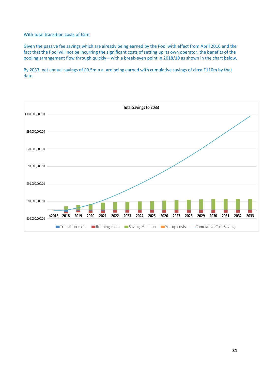#### With total transition costs of £5m

Given the passive fee savings which are already being earned by the Pool with effect from April 2016 and the fact that the Pool will not be incurring the significant costs of setting up its own operator, the benefits of the pooling arrangement flow through quickly – with a break-even point in 2018/19 as shown in the chart below.

By 2033, net annual savings of £9.5m p.a. are being earned with cumulative savings of circa £110m by that date.